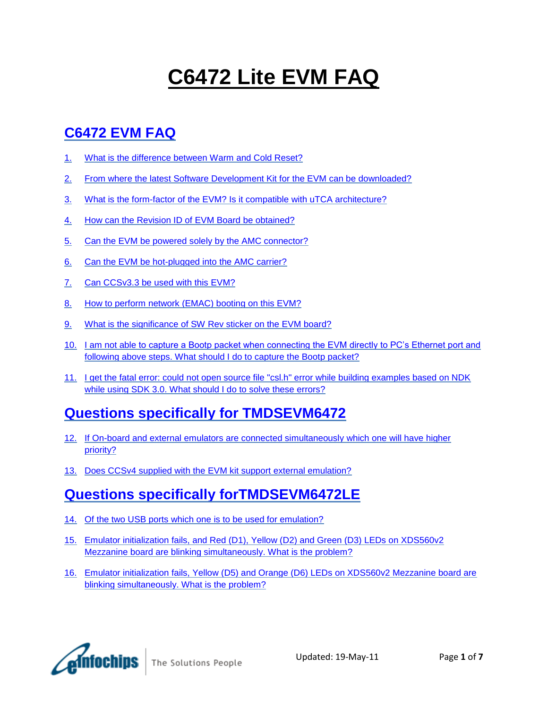# **C6472 Lite EVM FAQ**

# **[C6472 EVM FAQ](#page-1-0)**

- 1. [What is the difference between Warm and Cold Reset?](#page-1-1)
- 2. [From where the latest Software Development Kit for the EVM can be downloaded?](#page-1-2)
- 3. [What is the form-factor of the EVM? Is it compatible with uTCA architecture?](#page-1-3)
- 4. [How can the Revision ID of EVM Board be obtained?](#page-1-4)
- 5. [Can the EVM be powered solely by the AMC connector?](#page-2-0)
- 6. [Can the EVM be hot-plugged into the AMC carrier?](#page-2-1)
- 7. [Can CCSv3.3 be used with this EVM?](#page-2-2)
- 8. [How to perform network \(EMAC\) booting on this EVM?](#page-2-3)
- 9. [What is the significance of SW Rev sticker on the EVM board?](#page-3-0)
- 10. [I am not able to capture a Bootp packet when connecting the EVM directly to PC's Ethernet port and](#page-4-0)  [following above steps. What should I do to capture the Bootp packet?](#page-4-0)
- 11. [I get the fatal error: could not open source file "csl.h" error while building examples based on NDK](#page-4-1)  [while using SDK 3.0. What should I do to solve these errors?](#page-4-1)

### **[Questions specifically for TMDSEVM6472](#page-4-2)**

- 12. [If On-board and external emulators are connected simultaneously which one will have higher](#page-4-3)  [priority?](#page-4-3)
- 13. [Does CCSv4 supplied with the EVM kit support external emulation?](#page-4-4)

### **[Questions specifically forTMDSEVM6472LE](#page-5-0)**

- 14. [Of the two USB ports which one is to be used for emulation?](#page-5-1)
- 15. [Emulator initialization fails, and Red \(D1\), Yellow \(D2\) and Green \(D3\) LEDs on XDS560v2](#page-5-2)  [Mezzanine board are blinking simultaneously. What is the problem?](#page-5-2)
- 16. [Emulator initialization fails, Yellow \(D5\) and Orange \(D6\) LEDs on XDS560v2 Mezzanine board are](#page-5-3)  [blinking simultaneously. What is the problem?](#page-5-3)

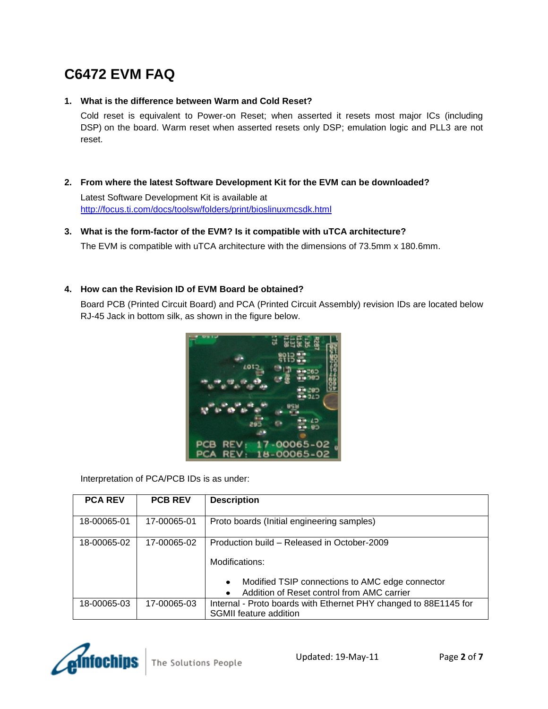# <span id="page-1-0"></span>**C6472 EVM FAQ**

#### <span id="page-1-1"></span>**1. What is the difference between Warm and Cold Reset?**

Cold reset is equivalent to Power-on Reset; when asserted it resets most major ICs (including DSP) on the board. Warm reset when asserted resets only DSP; emulation logic and PLL3 are not reset.

<span id="page-1-2"></span>**2. From where the latest Software Development Kit for the EVM can be downloaded?**

Latest Software Development Kit is available at <http://focus.ti.com/docs/toolsw/folders/print/bioslinuxmcsdk.html>

#### <span id="page-1-3"></span>**3. What is the form-factor of the EVM? Is it compatible with uTCA architecture?**

The EVM is compatible with uTCA architecture with the dimensions of 73.5mm x 180.6mm.

#### <span id="page-1-4"></span>**4. How can the Revision ID of EVM Board be obtained?**

Board PCB (Printed Circuit Board) and PCA (Printed Circuit Assembly) revision IDs are located below RJ-45 Jack in bottom silk, as shown in the figure below.



Interpretation of PCA/PCB IDs is as under:

| <b>PCA REV</b> | <b>PCB REV</b> | <b>Description</b>                                                                                                                                                  |
|----------------|----------------|---------------------------------------------------------------------------------------------------------------------------------------------------------------------|
| 18-00065-01    | 17-00065-01    | Proto boards (Initial engineering samples)                                                                                                                          |
| 18-00065-02    | 17-00065-02    | Production build – Released in October-2009<br>Modifications:<br>Modified TSIP connections to AMC edge connector<br>Addition of Reset control from AMC carrier<br>٠ |
| 18-00065-03    | 17-00065-03    | Internal - Proto boards with Ethernet PHY changed to 88E1145 for<br>SGMII feature addition                                                                          |

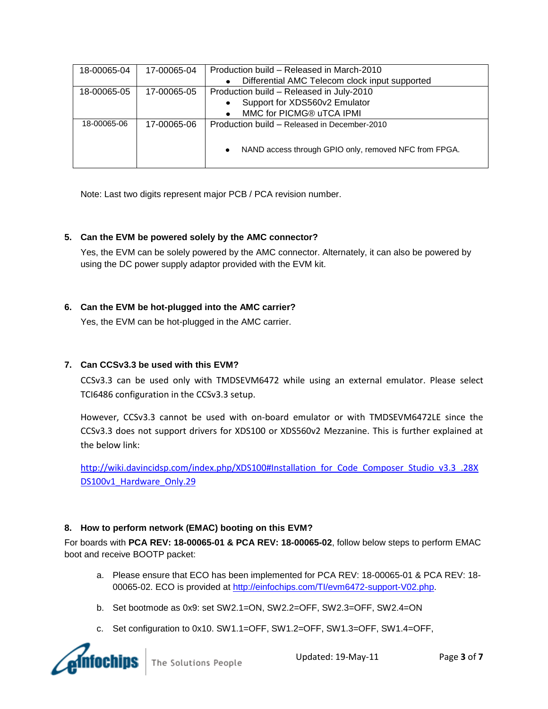| 18-00065-04 | 17-00065-04 | Production build – Released in March-2010                          |  |  |  |
|-------------|-------------|--------------------------------------------------------------------|--|--|--|
|             |             | Differential AMC Telecom clock input supported                     |  |  |  |
| 18-00065-05 | 17-00065-05 | Production build - Released in July-2010                           |  |  |  |
|             |             | Support for XDS560v2 Emulator                                      |  |  |  |
|             |             | MMC for PICMG® uTCA IPMI                                           |  |  |  |
| 18-00065-06 | 17-00065-06 | Production build – Released in December-2010                       |  |  |  |
|             |             |                                                                    |  |  |  |
|             |             | NAND access through GPIO only, removed NFC from FPGA.<br>$\bullet$ |  |  |  |
|             |             |                                                                    |  |  |  |
|             |             |                                                                    |  |  |  |

Note: Last two digits represent major PCB / PCA revision number.

#### <span id="page-2-0"></span>**5. Can the EVM be powered solely by the AMC connector?**

Yes, the EVM can be solely powered by the AMC connector. Alternately, it can also be powered by using the DC power supply adaptor provided with the EVM kit.

#### <span id="page-2-1"></span>**6. Can the EVM be hot-plugged into the AMC carrier?**

Yes, the EVM can be hot-plugged in the AMC carrier.

#### <span id="page-2-2"></span>**7. Can CCSv3.3 be used with this EVM?**

CCSv3.3 can be used only with TMDSEVM6472 while using an external emulator. Please select TCI6486 configuration in the CCSv3.3 setup.

However, CCSv3.3 cannot be used with on-board emulator or with TMDSEVM6472LE since the CCSv3.3 does not support drivers for XDS100 or XDS560v2 Mezzanine. This is further explained at the below link:

[http://wiki.davincidsp.com/index.php/XDS100#Installation\\_for\\_Code\\_Composer\\_Studio\\_v3.3\\_.28X](http://wiki.davincidsp.com/index.php/XDS100#Installation_for_Code_Composer_Studio_v3.3_.28XDS100v1_Hardware_Only.29) DS100v1 Hardware Only.29

#### <span id="page-2-3"></span>**8. How to perform network (EMAC) booting on this EVM?**

For boards with **PCA REV: 18-00065-01 & PCA REV: 18-00065-02**, follow below steps to perform EMAC boot and receive BOOTP packet:

- a. Please ensure that ECO has been implemented for PCA REV: 18-00065-01 & PCA REV: 18- 00065-02. ECO is provided at [http://einfochips.com/TI/evm6472-support-V02.php.](http://einfochips.com/TI/evm6472-support-V02.php)
- b. Set bootmode as 0x9: set SW2.1=ON, SW2.2=OFF, SW2.3=OFF, SW2.4=ON
- c. Set configuration to 0x10. SW1.1=OFF, SW1.2=OFF, SW1.3=OFF, SW1.4=OFF,

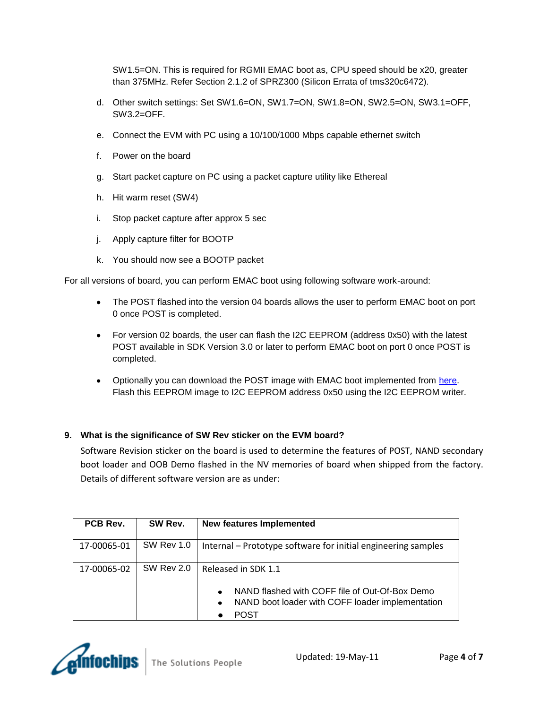SW1.5=ON. This is required for RGMII EMAC boot as, CPU speed should be x20, greater than 375MHz. Refer Section 2.1.2 of SPRZ300 (Silicon Errata of tms320c6472).

- d. Other switch settings: Set SW1.6=ON, SW1.7=ON, SW1.8=ON, SW2.5=ON, SW3.1=OFF, SW3.2=OFF.
- e. Connect the EVM with PC using a 10/100/1000 Mbps capable ethernet switch
- f. Power on the board
- g. Start packet capture on PC using a packet capture utility like Ethereal
- h. Hit warm reset (SW4)
- i. Stop packet capture after approx 5 sec
- j. Apply capture filter for BOOTP
- k. You should now see a BOOTP packet

For all versions of board, you can perform EMAC boot using following software work-around:

- The POST flashed into the version 04 boards allows the user to perform EMAC boot on port 0 once POST is completed.
- For version 02 boards, the user can flash the I2C EEPROM (address 0x50) with the latest POST available in SDK Version 3.0 or later to perform EMAC boot on port 0 once POST is completed.
- Optionally you can download the POST image with EMAC boot implemented from [here.](http://www.einfochips.com/TI/evm6472-support-V04.php) Flash this EEPROM image to I2C EEPROM address 0x50 using the I2C EEPROM writer.

#### <span id="page-3-0"></span>**9. What is the significance of SW Rev sticker on the EVM board?**

Software Revision sticker on the board is used to determine the features of POST, NAND secondary boot loader and OOB Demo flashed in the NV memories of board when shipped from the factory. Details of different software version are as under:

| PCB Rev.    | SW Rev.           | <b>New features Implemented</b>                                                                                                      |  |
|-------------|-------------------|--------------------------------------------------------------------------------------------------------------------------------------|--|
| 17-00065-01 | <b>SW Rev 1.0</b> | Internal – Prototype software for initial engineering samples                                                                        |  |
| 17-00065-02 | <b>SW Rev 2.0</b> | Released in SDK 1.1                                                                                                                  |  |
|             |                   | NAND flashed with COFF file of Out-Of-Box Demo<br>$\bullet$<br>NAND boot loader with COFF loader implementation<br>$\bullet$<br>POST |  |

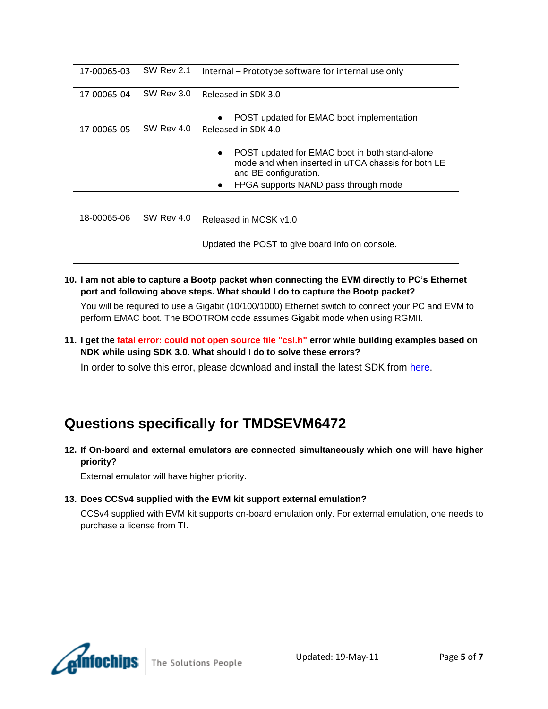| 17-00065-03 | <b>SW Rev 2.1</b> | Internal – Prototype software for internal use only                                                                                                                             |  |
|-------------|-------------------|---------------------------------------------------------------------------------------------------------------------------------------------------------------------------------|--|
| 17-00065-04 | SW Rev 3.0        | Released in SDK 3.0                                                                                                                                                             |  |
|             |                   | POST updated for EMAC boot implementation<br>٠                                                                                                                                  |  |
| 17-00065-05 | SW Rev 4.0        | Released in SDK 4.0                                                                                                                                                             |  |
|             |                   | POST updated for EMAC boot in both stand-alone<br>٠<br>mode and when inserted in uTCA chassis for both LE<br>and BE configuration.<br>FPGA supports NAND pass through mode<br>٠ |  |
|             |                   |                                                                                                                                                                                 |  |
| 18-00065-06 | <b>SW Rev 4.0</b> | Released in MCSK v1.0<br>Updated the POST to give board info on console.                                                                                                        |  |

<span id="page-4-0"></span>**10. I am not able to capture a Bootp packet when connecting the EVM directly to PC's Ethernet port and following above steps. What should I do to capture the Bootp packet?**

You will be required to use a Gigabit (10/100/1000) Ethernet switch to connect your PC and EVM to perform EMAC boot. The BOOTROM code assumes Gigabit mode when using RGMII.

<span id="page-4-1"></span>**11. I get the fatal error: could not open source file "csl.h" error while building examples based on NDK while using SDK 3.0. What should I do to solve these errors?**

In order to solve this error, please download and install the latest SDK from [here.](http://www.einfochips.com/TI/evm6472-support.php)

### <span id="page-4-2"></span>**Questions specifically for TMDSEVM6472**

<span id="page-4-3"></span>**12. If On-board and external emulators are connected simultaneously which one will have higher priority?**

External emulator will have higher priority.

#### <span id="page-4-4"></span>**13. Does CCSv4 supplied with the EVM kit support external emulation?**

CCSv4 supplied with EVM kit supports on-board emulation only. For external emulation, one needs to purchase a license from TI.

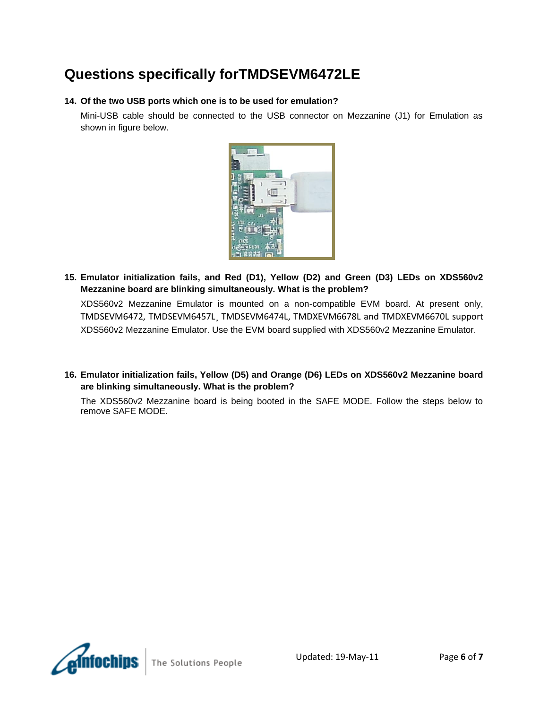### <span id="page-5-0"></span>**Questions specifically forTMDSEVM6472LE**

#### <span id="page-5-1"></span>**14. Of the two USB ports which one is to be used for emulation?**

Mini-USB cable should be connected to the USB connector on Mezzanine (J1) for Emulation as shown in figure below.



<span id="page-5-2"></span>**15. Emulator initialization fails, and Red (D1), Yellow (D2) and Green (D3) LEDs on XDS560v2 Mezzanine board are blinking simultaneously. What is the problem?**

XDS560v2 Mezzanine Emulator is mounted on a non-compatible EVM board. At present only, TMDSEVM6472, TMDSEVM6457L¸ TMDSEVM6474L, TMDXEVM6678L and TMDXEVM6670L support XDS560v2 Mezzanine Emulator. Use the EVM board supplied with XDS560v2 Mezzanine Emulator.

<span id="page-5-3"></span>**16. Emulator initialization fails, Yellow (D5) and Orange (D6) LEDs on XDS560v2 Mezzanine board are blinking simultaneously. What is the problem?**

The XDS560v2 Mezzanine board is being booted in the SAFE MODE. Follow the steps below to remove SAFE MODE.